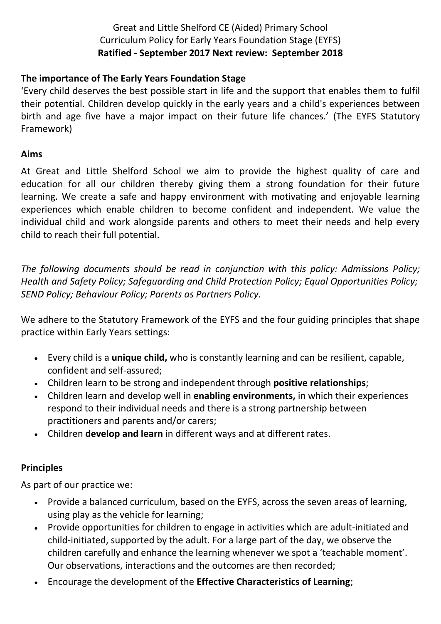## Great and Little Shelford CE (Aided) Primary School Curriculum Policy for Early Years Foundation Stage (EYFS) **Ratified - September 2017 Next review: September 2018**

## **The importance of The Early Years Foundation Stage**

'Every child deserves the best possible start in life and the support that enables them to fulfil their potential. Children develop quickly in the early years and a child's experiences between birth and age five have a major impact on their future life chances.' (The EYFS Statutory Framework)

#### **Aims**

At Great and Little Shelford School we aim to provide the highest quality of care and education for all our children thereby giving them a strong foundation for their future learning. We create a safe and happy environment with motivating and enjoyable learning experiences which enable children to become confident and independent. We value the individual child and work alongside parents and others to meet their needs and help every child to reach their full potential.

*The following documents should be read in conjunction with this policy: Admissions Policy; Health and Safety Policy; Safeguarding and Child Protection Policy; Equal Opportunities Policy; SEND Policy; Behaviour Policy; Parents as Partners Policy.*

We adhere to the Statutory Framework of the EYFS and the four guiding principles that shape practice within Early Years settings:

- Every child is a **unique child,** who is constantly learning and can be resilient, capable, confident and self-assured;
- Children learn to be strong and independent through **positive relationships**;
- Children learn and develop well in **enabling environments,** in which their experiences respond to their individual needs and there is a strong partnership between practitioners and parents and/or carers;
- Children **develop and learn** in different ways and at different rates.

## **Principles**

As part of our practice we:

- Provide a balanced curriculum, based on the EYFS, across the seven areas of learning, using play as the vehicle for learning;
- Provide opportunities for children to engage in activities which are adult-initiated and child-initiated, supported by the adult. For a large part of the day, we observe the children carefully and enhance the learning whenever we spot a 'teachable moment'. Our observations, interactions and the outcomes are then recorded;
- Encourage the development of the **Effective Characteristics of Learning**;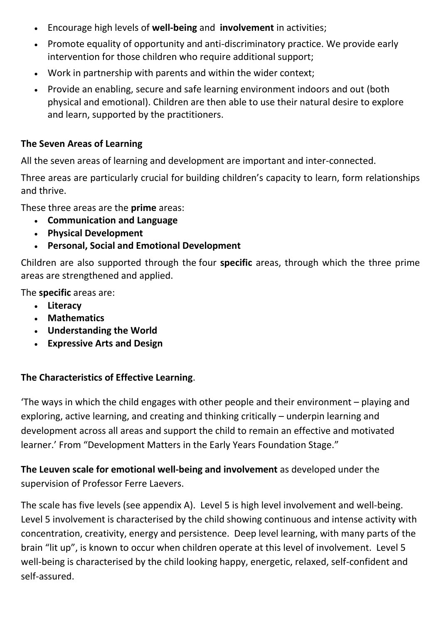- Encourage high levels of **well-being** and **involvement** in activities;
- Promote equality of opportunity and anti-discriminatory practice. We provide early intervention for those children who require additional support;
- Work in partnership with parents and within the wider context;
- Provide an enabling, secure and safe learning environment indoors and out (both physical and emotional). Children are then able to use their natural desire to explore and learn, supported by the practitioners.

# **The Seven Areas of Learning**

All the seven areas of learning and development are important and inter-connected.

Three areas are particularly crucial for building children's capacity to learn, form relationships and thrive.

These three areas are the **prime** areas:

- **Communication and Language**
- **Physical Development**
- **Personal, Social and Emotional Development**

Children are also supported through the four **specific** areas, through which the three prime areas are strengthened and applied.

The **specific** areas are:

- **Literacy**
- **Mathematics**
- **Understanding the World**
- **Expressive Arts and Design**

# **The Characteristics of Effective Learning**.

'The ways in which the child engages with other people and their environment – playing and exploring, active learning, and creating and thinking critically – underpin learning and development across all areas and support the child to remain an effective and motivated learner.' From "Development Matters in the Early Years Foundation Stage."

**The Leuven scale for emotional well-being and involvement** as developed under the supervision of Professor Ferre Laevers.

The scale has five levels (see appendix A). Level 5 is high level involvement and well-being. Level 5 involvement is characterised by the child showing continuous and intense activity with concentration, creativity, energy and persistence. Deep level learning, with many parts of the brain "lit up", is known to occur when children operate at this level of involvement. Level 5 well-being is characterised by the child looking happy, energetic, relaxed, self-confident and self-assured.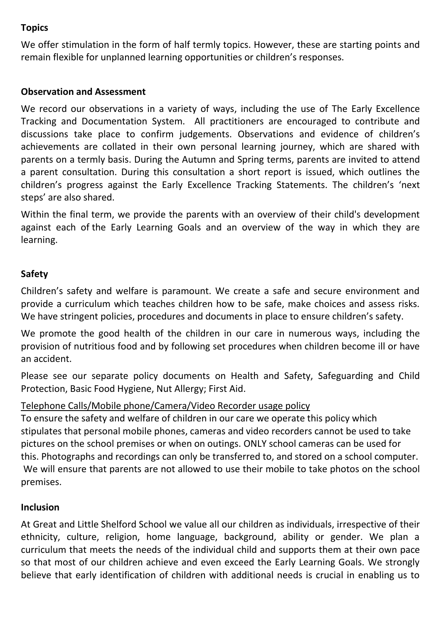## **Topics**

We offer stimulation in the form of half termly topics. However, these are starting points and remain flexible for unplanned learning opportunities or children's responses.

### **Observation and Assessment**

We record our observations in a variety of ways, including the use of The Early Excellence Tracking and Documentation System. All practitioners are encouraged to contribute and discussions take place to confirm judgements. Observations and evidence of children's achievements are collated in their own personal learning journey, which are shared with parents on a termly basis. During the Autumn and Spring terms, parents are invited to attend a parent consultation. During this consultation a short report is issued, which outlines the children's progress against the Early Excellence Tracking Statements. The children's 'next steps' are also shared.

Within the final term, we provide the parents with an overview of their child's development against each of the Early Learning Goals and an overview of the way in which they are learning.

#### **Safety**

Children's safety and welfare is paramount. We create a safe and secure environment and provide a curriculum which teaches children how to be safe, make choices and assess risks. We have stringent policies, procedures and documents in place to ensure children's safety.

We promote the good health of the children in our care in numerous ways, including the provision of nutritious food and by following set procedures when children become ill or have an accident.

Please see our separate policy documents on Health and Safety, Safeguarding and Child Protection, Basic Food Hygiene, Nut Allergy; First Aid.

### Telephone Calls/Mobile phone/Camera/Video Recorder usage policy

To ensure the safety and welfare of children in our care we operate this policy which stipulates that personal mobile phones, cameras and video recorders cannot be used to take pictures on the school premises or when on outings. ONLY school cameras can be used for this. Photographs and recordings can only be transferred to, and stored on a school computer. We will ensure that parents are not allowed to use their mobile to take photos on the school premises.

### **Inclusion**

At Great and Little Shelford School we value all our children as individuals, irrespective of their ethnicity, culture, religion, home language, background, ability or gender. We plan a curriculum that meets the needs of the individual child and supports them at their own pace so that most of our children achieve and even exceed the Early Learning Goals. We strongly believe that early identification of children with additional needs is crucial in enabling us to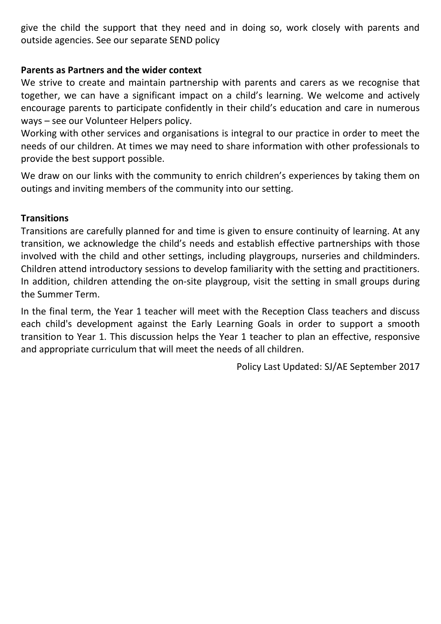give the child the support that they need and in doing so, work closely with parents and outside agencies. See our separate SEND policy

## **Parents as Partners and the wider context**

We strive to create and maintain partnership with parents and carers as we recognise that together, we can have a significant impact on a child's learning. We welcome and actively encourage parents to participate confidently in their child's education and care in numerous ways – see our Volunteer Helpers policy.

Working with other services and organisations is integral to our practice in order to meet the needs of our children. At times we may need to share information with other professionals to provide the best support possible.

We draw on our links with the community to enrich children's experiences by taking them on outings and inviting members of the community into our setting.

## **Transitions**

Transitions are carefully planned for and time is given to ensure continuity of learning. At any transition, we acknowledge the child's needs and establish effective partnerships with those involved with the child and other settings, including playgroups, nurseries and childminders. Children attend introductory sessions to develop familiarity with the setting and practitioners. In addition, children attending the on-site playgroup, visit the setting in small groups during the Summer Term.

In the final term, the Year 1 teacher will meet with the Reception Class teachers and discuss each child's development against the Early Learning Goals in order to support a smooth transition to Year 1. This discussion helps the Year 1 teacher to plan an effective, responsive and appropriate curriculum that will meet the needs of all children.

Policy Last Updated: SJ/AE September 2017